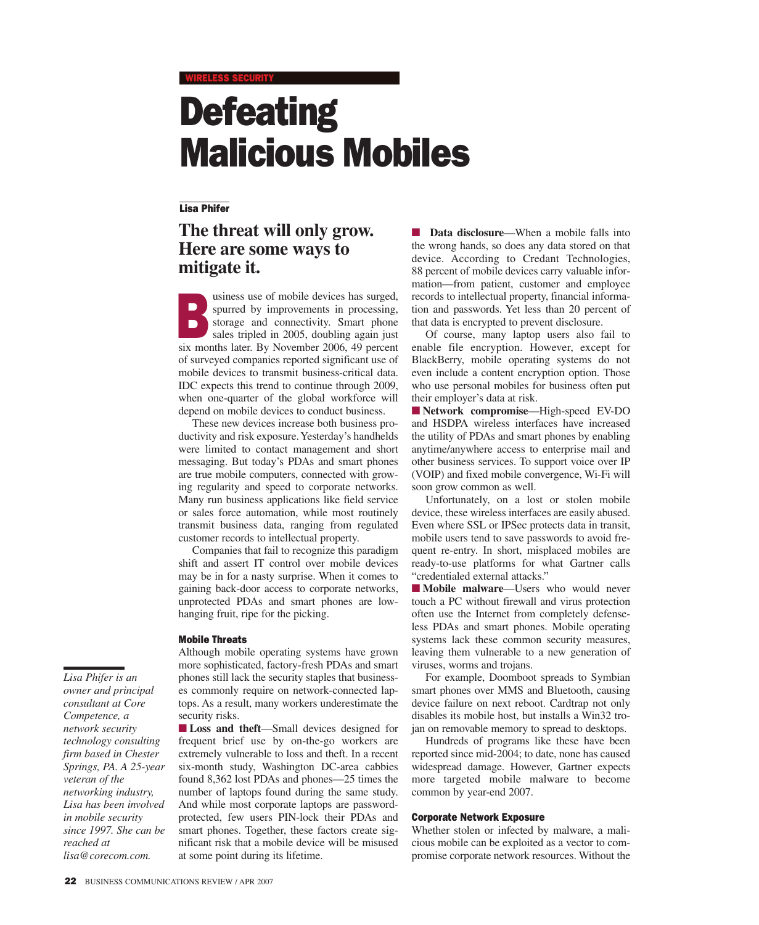# **Defeating** Malicious Mobiles

# Lisa Phifer

# **The threat will only grow. Here are some ways to mitigate it.**

susiness use of mobile devices has surged,<br>spurred by improvements in processing,<br>storage and connectivity. Smart phone<br>sales tripled in 2005, doubling again just<br>six months later. By November 2006, 40 percent spurred by improvements in processing, storage and connectivity. Smart phone sales tripled in 2005, doubling again just six months later. By November 2006, 49 percent of surveyed companies reported significant use of mobile devices to transmit business-critical data. IDC expects this trend to continue through 2009, when one-quarter of the global workforce will depend on mobile devices to conduct business.

These new devices increase both business productivity and risk exposure. Yesterday's handhelds were limited to contact management and short messaging. But today's PDAs and smart phones are true mobile computers, connected with growing regularity and speed to corporate networks. Many run business applications like field service or sales force automation, while most routinely transmit business data, ranging from regulated customer records to intellectual property.

Companies that fail to recognize this paradigm shift and assert IT control over mobile devices may be in for a nasty surprise. When it comes to gaining back-door access to corporate networks, unprotected PDAs and smart phones are lowhanging fruit, ripe for the picking.

#### Mobile Threats

Although mobile operating systems have grown more sophisticated, factory-fresh PDAs and smart phones still lack the security staples that businesses commonly require on network-connected laptops. As a result, many workers underestimate the security risks.

■ **Loss and theft**—Small devices designed for frequent brief use by on-the-go workers are extremely vulnerable to loss and theft. In a recent six-month study, Washington DC-area cabbies found 8,362 lost PDAs and phones—25 times the number of laptops found during the same study. And while most corporate laptops are passwordprotected, few users PIN-lock their PDAs and smart phones. Together, these factors create significant risk that a mobile device will be misused at some point during its lifetime.

■ **Data disclosure**—When a mobile falls into the wrong hands, so does any data stored on that device. According to Credant Technologies, 88 percent of mobile devices carry valuable information—from patient, customer and employee records to intellectual property, financial information and passwords. Yet less than 20 percent of that data is encrypted to prevent disclosure.

Of course, many laptop users also fail to enable file encryption. However, except for BlackBerry, mobile operating systems do not even include a content encryption option. Those who use personal mobiles for business often put their employer's data at risk.

■ **Network compromise**—High-speed EV-DO and HSDPA wireless interfaces have increased the utility of PDAs and smart phones by enabling anytime/anywhere access to enterprise mail and other business services. To support voice over IP (VOIP) and fixed mobile convergence, Wi-Fi will soon grow common as well.

Unfortunately, on a lost or stolen mobile device, these wireless interfaces are easily abused. Even where SSL or IPSec protects data in transit, mobile users tend to save passwords to avoid frequent re-entry. In short, misplaced mobiles are ready-to-use platforms for what Gartner calls "credentialed external attacks."

■ **Mobile malware**—Users who would never touch a PC without firewall and virus protection often use the Internet from completely defenseless PDAs and smart phones. Mobile operating systems lack these common security measures, leaving them vulnerable to a new generation of viruses, worms and trojans.

For example, Doomboot spreads to Symbian smart phones over MMS and Bluetooth, causing device failure on next reboot. Cardtrap not only disables its mobile host, but installs a Win32 trojan on removable memory to spread to desktops.

Hundreds of programs like these have been reported since mid-2004; to date, none has caused widespread damage. However, Gartner expects more targeted mobile malware to become common by year-end 2007.

## Corporate Network Exposure

Whether stolen or infected by malware, a malicious mobile can be exploited as a vector to compromise corporate network resources. Without the

*Lisa Phifer is an owner and principal consultant at Core Competence, a network security technology consulting firm based in Chester Springs, PA. A 25-year veteran of the networking industry, Lisa has been involved in mobile security since 1997. She can be reached at lisa@corecom.com.*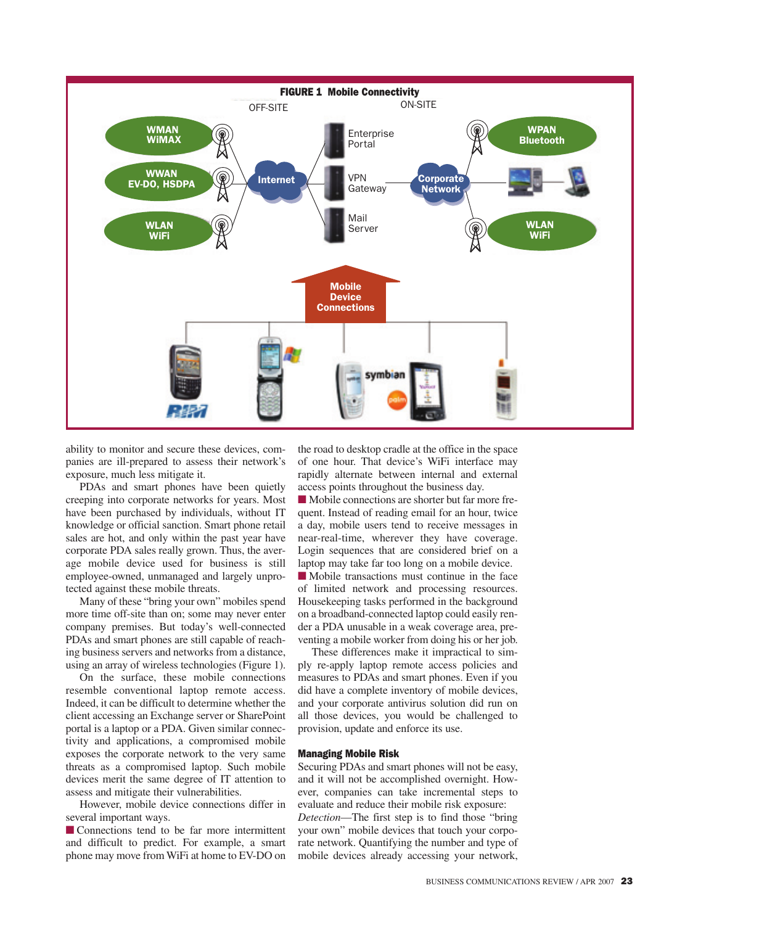

ability to monitor and secure these devices, companies are ill-prepared to assess their network's exposure, much less mitigate it.

PDAs and smart phones have been quietly creeping into corporate networks for years. Most have been purchased by individuals, without IT knowledge or official sanction. Smart phone retail sales are hot, and only within the past year have corporate PDA sales really grown. Thus, the average mobile device used for business is still employee-owned, unmanaged and largely unprotected against these mobile threats.

Many of these "bring your own" mobiles spend more time off-site than on; some may never enter company premises. But today's well-connected PDAs and smart phones are still capable of reaching business servers and networks from a distance, using an array of wireless technologies (Figure 1).

On the surface, these mobile connections resemble conventional laptop remote access. Indeed, it can be difficult to determine whether the client accessing an Exchange server or SharePoint portal is a laptop or a PDA. Given similar connectivity and applications, a compromised mobile exposes the corporate network to the very same threats as a compromised laptop. Such mobile devices merit the same degree of IT attention to assess and mitigate their vulnerabilities.

However, mobile device connections differ in several important ways.

■ Connections tend to be far more intermittent and difficult to predict. For example, a smart phone may move from WiFi at home to EV-DO on

the road to desktop cradle at the office in the space of one hour. That device's WiFi interface may rapidly alternate between internal and external access points throughout the business day.

■ Mobile connections are shorter but far more frequent. Instead of reading email for an hour, twice a day, mobile users tend to receive messages in near-real-time, wherever they have coverage. Login sequences that are considered brief on a laptop may take far too long on a mobile device.

■ Mobile transactions must continue in the face of limited network and processing resources. Housekeeping tasks performed in the background on a broadband-connected laptop could easily render a PDA unusable in a weak coverage area, preventing a mobile worker from doing his or her job.

These differences make it impractical to simply re-apply laptop remote access policies and measures to PDAs and smart phones. Even if you did have a complete inventory of mobile devices, and your corporate antivirus solution did run on all those devices, you would be challenged to provision, update and enforce its use.

### Managing Mobile Risk

Securing PDAs and smart phones will not be easy, and it will not be accomplished overnight. However, companies can take incremental steps to evaluate and reduce their mobile risk exposure: *Detection*—The first step is to find those "bring your own" mobile devices that touch your corporate network. Quantifying the number and type of mobile devices already accessing your network,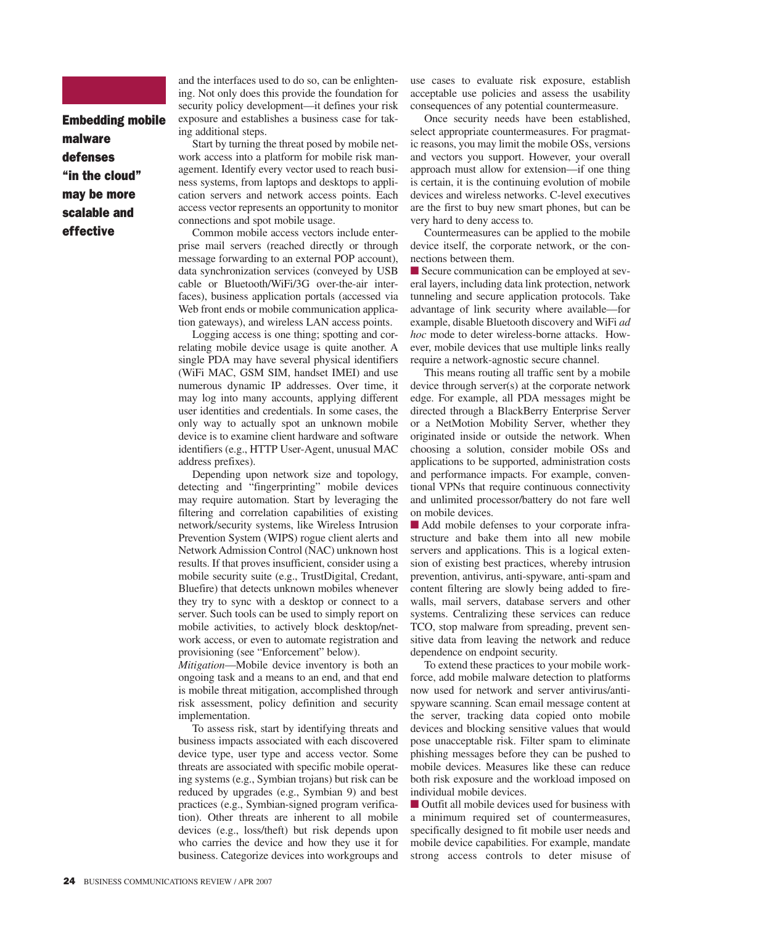Embedding mobile malware defenses "in the cloud" may be more scalable and effective

and the interfaces used to do so, can be enlightening. Not only does this provide the foundation for security policy development—it defines your risk exposure and establishes a business case for taking additional steps.

Start by turning the threat posed by mobile network access into a platform for mobile risk management. Identify every vector used to reach business systems, from laptops and desktops to application servers and network access points. Each access vector represents an opportunity to monitor connections and spot mobile usage.

Common mobile access vectors include enterprise mail servers (reached directly or through message forwarding to an external POP account), data synchronization services (conveyed by USB cable or Bluetooth/WiFi/3G over-the-air interfaces), business application portals (accessed via Web front ends or mobile communication application gateways), and wireless LAN access points.

Logging access is one thing; spotting and correlating mobile device usage is quite another. A single PDA may have several physical identifiers (WiFi MAC, GSM SIM, handset IMEI) and use numerous dynamic IP addresses. Over time, it may log into many accounts, applying different user identities and credentials. In some cases, the only way to actually spot an unknown mobile device is to examine client hardware and software identifiers (e.g., HTTP User-Agent, unusual MAC address prefixes).

Depending upon network size and topology, detecting and "fingerprinting" mobile devices may require automation. Start by leveraging the filtering and correlation capabilities of existing network/security systems, like Wireless Intrusion Prevention System (WIPS) rogue client alerts and Network Admission Control (NAC) unknown host results. If that proves insufficient, consider using a mobile security suite (e.g., TrustDigital, Credant, Bluefire) that detects unknown mobiles whenever they try to sync with a desktop or connect to a server. Such tools can be used to simply report on mobile activities, to actively block desktop/network access, or even to automate registration and provisioning (see "Enforcement" below).

*Mitigation*—Mobile device inventory is both an ongoing task and a means to an end, and that end is mobile threat mitigation, accomplished through risk assessment, policy definition and security implementation.

To assess risk, start by identifying threats and business impacts associated with each discovered device type, user type and access vector. Some threats are associated with specific mobile operating systems (e.g., Symbian trojans) but risk can be reduced by upgrades (e.g., Symbian 9) and best practices (e.g., Symbian-signed program verification). Other threats are inherent to all mobile devices (e.g., loss/theft) but risk depends upon who carries the device and how they use it for business. Categorize devices into workgroups and use cases to evaluate risk exposure, establish acceptable use policies and assess the usability consequences of any potential countermeasure.

Once security needs have been established, select appropriate countermeasures. For pragmatic reasons, you may limit the mobile OSs, versions and vectors you support. However, your overall approach must allow for extension—if one thing is certain, it is the continuing evolution of mobile devices and wireless networks. C-level executives are the first to buy new smart phones, but can be very hard to deny access to.

Countermeasures can be applied to the mobile device itself, the corporate network, or the connections between them.

■ Secure communication can be employed at several layers, including data link protection, network tunneling and secure application protocols. Take advantage of link security where available—for example, disable Bluetooth discovery and WiFi *ad hoc* mode to deter wireless-borne attacks. However, mobile devices that use multiple links really require a network-agnostic secure channel.

This means routing all traffic sent by a mobile device through server(s) at the corporate network edge. For example, all PDA messages might be directed through a BlackBerry Enterprise Server or a NetMotion Mobility Server, whether they originated inside or outside the network. When choosing a solution, consider mobile OSs and applications to be supported, administration costs and performance impacts. For example, conventional VPNs that require continuous connectivity and unlimited processor/battery do not fare well on mobile devices.

■ Add mobile defenses to your corporate infrastructure and bake them into all new mobile servers and applications. This is a logical extension of existing best practices, whereby intrusion prevention, antivirus, anti-spyware, anti-spam and content filtering are slowly being added to firewalls, mail servers, database servers and other systems. Centralizing these services can reduce TCO, stop malware from spreading, prevent sensitive data from leaving the network and reduce dependence on endpoint security.

To extend these practices to your mobile workforce, add mobile malware detection to platforms now used for network and server antivirus/antispyware scanning. Scan email message content at the server, tracking data copied onto mobile devices and blocking sensitive values that would pose unacceptable risk. Filter spam to eliminate phishing messages before they can be pushed to mobile devices. Measures like these can reduce both risk exposure and the workload imposed on individual mobile devices.

■ Outfit all mobile devices used for business with a minimum required set of countermeasures, specifically designed to fit mobile user needs and mobile device capabilities. For example, mandate strong access controls to deter misuse of